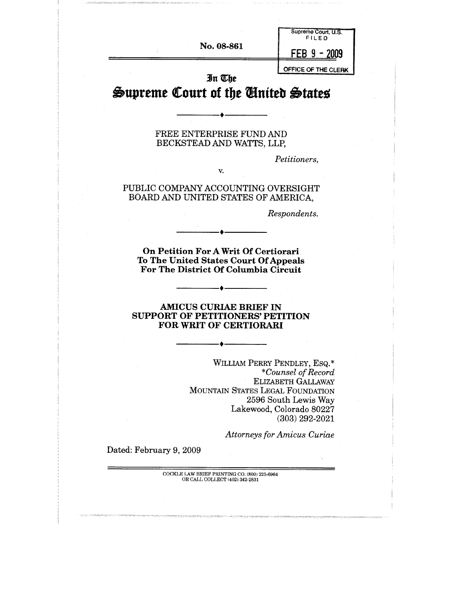| In The<br>Supreme Court of the United States |                                     |
|----------------------------------------------|-------------------------------------|
|                                              | OFFICE OF THE CLERK                 |
| No. 08-861                                   | 2009                                |
|                                              | Supreme Court, U.S.<br><b>FILED</b> |

#### FREE ENTERPRISE FUND AND BECKSTEAD AND WATTS, LLP,

*Petitioners,*

#### PUBLIC COMPANY ACCOUNTING OVERSIGHT BOARD AND UNITED STATES OF AMERICA,

*V.*

*Respondents.*

**On Petition For A Writ Of Certiorari To The United States Court Of Appeals For The District Of Columbia Circuit**

#### **AMICUS CURIAE BRIEF IN SUPPORT OF PETITIONERS' PETITION FOR WRIT OF CERTIORARI**

WILLIAM PERRY PENDLEY, ESQ.\* *\*Counsel of Record* ELIZABETH GALLAWAY MOUNTAIN STATES LEGAL FOUNDATION 2596 South Lewis Way Lakewood, Colorado 80227 (303) 292-2021

*Attorneys for Amicus Curiae*

Dated: February 9, 2009

COCKLE LAW BRIEF PRINTING CO. **(800) 225-6964** OR CALL COLLECT [402~ 342-2831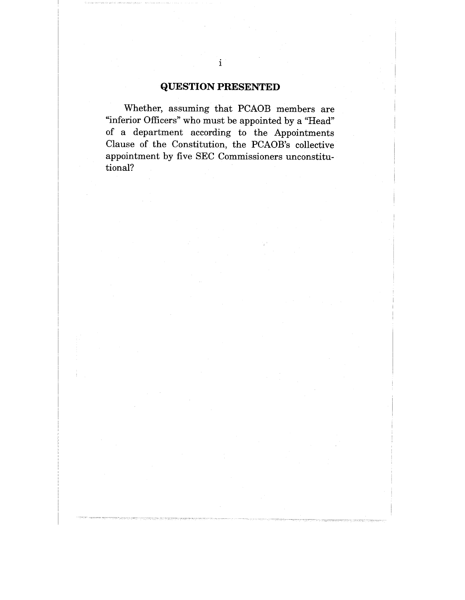## **QUESTION PRESENTED**

Whether, assuming that PCAOB members are "inferior Officers" who must be appointed by a "Head" of a department according to the Appointments Clause of the Constitution, the PCAOB's collective appointment by five SEC Commissioners unconstitutional?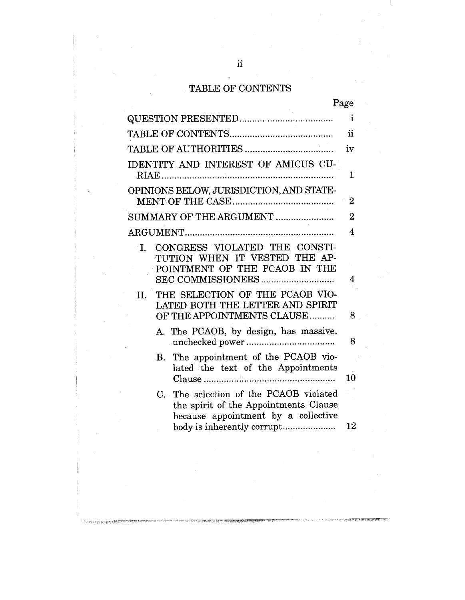# TABLE OF CONTENTS

| ď<br>Ω |
|--------|
|--------|

|                                                                                                                        | $\mathbf{i}$   |
|------------------------------------------------------------------------------------------------------------------------|----------------|
|                                                                                                                        | ij             |
|                                                                                                                        | iv             |
| <b>IDENTITY AND INTEREST OF AMICUS CU-</b>                                                                             | $\mathbf 1$    |
| OPINIONS BELOW, JURISDICTION, AND STATE-                                                                               | $\overline{2}$ |
| SUMMARY OF THE ARGUMENT                                                                                                | $\overline{2}$ |
|                                                                                                                        | 4              |
| CONGRESS VIOLATED THE CONSTI-<br>L.<br>TUTION WHEN IT VESTED THE AP-<br>POINTMENT OF THE PCAOB IN THE                  | 4              |
| THE SELECTION OF THE PCAOB VIO-<br>$\Pi$ .<br>LATED BOTH THE LETTER AND SPIRIT<br>OF THE APPOINTMENTS CLAUSE           | 8              |
| A. The PCAOB, by design, has massive,                                                                                  | 8              |
| B. The appointment of the PCAOB vio-<br>lated the text of the Appointments                                             | 10             |
| C. The selection of the PCAOB violated<br>the spirit of the Appointments Clause<br>because appointment by a collective |                |
|                                                                                                                        | 12             |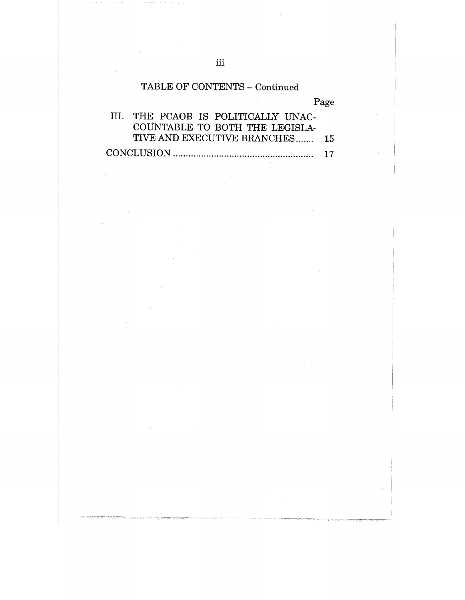# TABLE OF CONTENTS **-** Continued

Page

| III. THE PCAOB IS POLITICALLY UNAC- |  |
|-------------------------------------|--|
| COUNTABLE TO BOTH THE LEGISLA-      |  |
| TIVE AND EXECUTIVE BRANCHES 15      |  |
|                                     |  |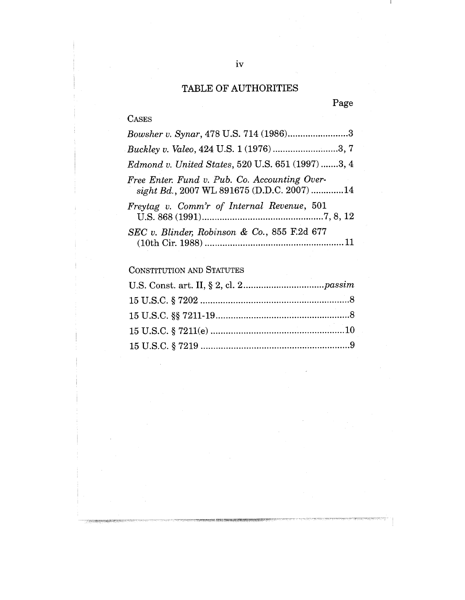# TABLE OF AUTHORITIES

# Page

# CASES

.<br>एउटा राष्ट्रसम्बन्धान्त्रस्थ

| Bowsher v. Synar, 478 U.S. 714 (1986)3                                                      |
|---------------------------------------------------------------------------------------------|
| <i>Buckley v. Valeo, 424 U.S. 1 (1976) </i> 3, 7                                            |
| Edmond v. United States, 520 U.S. 651 (1997) 3, 4                                           |
| Free Enter. Fund v. Pub. Co. Accounting Over-<br>sight Bd., 2007 WL 891675 (D.D.C. 2007) 14 |
| Freytag v. Comm'r of Internal Revenue, 501                                                  |
| SEC v. Blinder, Robinson & Co., 855 F.2d 677                                                |

CONSTITUTION AND STATUTES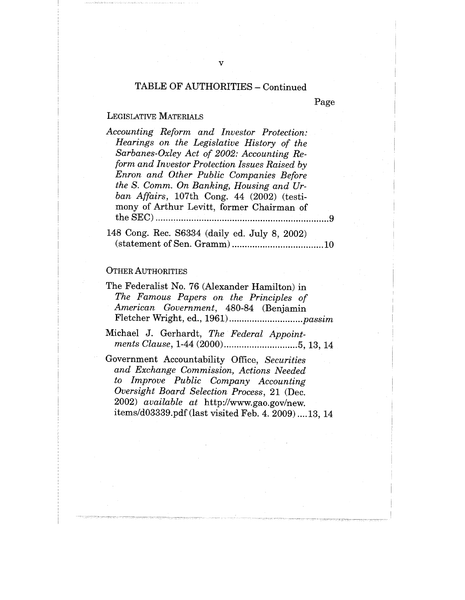## TABLE OF AUTHORITIES - Continued

v

Page

## LEGISLATIVE MATERIALS

| Accounting Reform and Investor Protection:        |
|---------------------------------------------------|
| Hearings on the Legislative History of the        |
| Sarbanes-Oxley Act of 2002: Accounting Re-        |
| form and Investor Protection Issues Raised by     |
| Enron and Other Public Companies Before           |
| the S. Comm. On Banking, Housing and Ur-          |
| ban Affairs, 107th Cong. 44 (2002) (testi-        |
| mony of Arthur Levitt, former Chairman of         |
|                                                   |
| $148$ Cong. Rec. $S6334$ (deily ed. Luly 8, 2002) |

#### OTHER AUTHORITIES

| The Federalist No. 76 (Alexander Hamilton) in |
|-----------------------------------------------|
| The Famous Papers on the Principles of        |
| American Government, 480-84 (Benjamin         |
|                                               |

Michael J. Gerhardt, *The Federal Appointments Clause,* 1-44 (2000) ............................. 5, 13, 14

Government Accountability Office, *Securities and Exchange Commission, Actions Needed to Improve Public Company Accounting Oversight Board Selection Process,* 21 (Dec. 2002) *available at* http://www.gao.gov/new. items/d03339.pdf (last visited Feb. 4. 2009) ....13, 14

Rec. S6334 (daily ed. July 8, 2002) (statement of Sen. Gramm) .................................... 10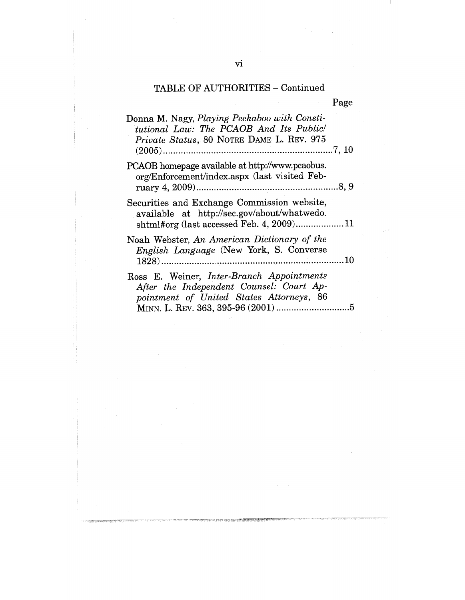# TABLE OF AUTHORITIES - Continued

|                                                                                                                                        | Page |
|----------------------------------------------------------------------------------------------------------------------------------------|------|
| Donna M. Nagy, Playing Peekaboo with Consti-<br>tutional Law: The PCAOB And Its Public<br>Private Status, 80 NOTRE DAME L. REV. 975    |      |
| PCAOB homepage available at http://www.pcaobus.<br>org/Enforcement/index.aspx (last visited Feb-                                       |      |
| Securities and Exchange Commission website,<br>available at http://sec.gov/about/whatwedo.<br>shtml#org (last accessed Feb. 4, 2009)11 |      |
| Noah Webster, An American Dictionary of the<br><i>English Language</i> (New York, S. Converse                                          |      |
| Ross E. Weiner, Inter-Branch Appointments<br>After the Independent Counsel: Court Ap-<br>pointment of United States Attorneys, 86      |      |

11.4400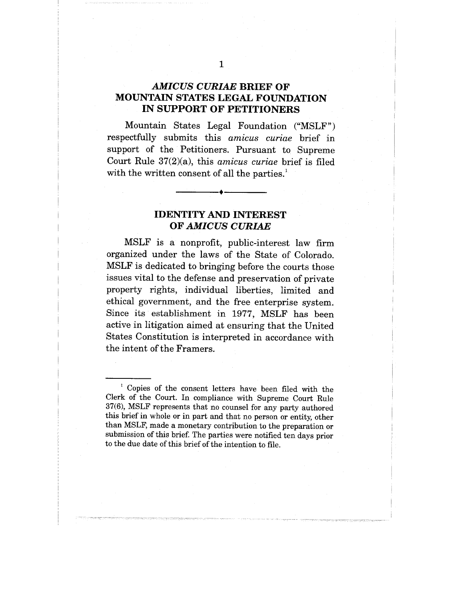#### *AMICUS CURIAE* **BRIEF OF MOUNTAIN STATES LEGAL FOUNDATION IN SUPPORT OF PETITIONERS**

Mountain States Legal Foundation ("MSLF") respectfully submits this *amicus curiae* brief in support of the Petitioners. Pursuant to Supreme Court Rule 37(2)(a), this *amicus curiae* brief is filed with the written consent of all the parties.<sup>1</sup>

## **IDENTITY AND INTEREST OF** *AMICUS CURIAE*

MSLF is a nonprofit, public-interest law firm organized under the laws of the State of Colorado. MSLF is dedicated to bringing before the courts those issues vital to the defense and preservation of private property rights, individual liberties, limited and ethical government, and the free enterprise system. Since its establishment in 1977, MSLF has been active in litigation aimed at ensuring that the United States Constitution is interpreted in accordance with the intent of the Framers.

<sup>1</sup> Copies of the consent letters have been filed with the Clerk of the Court. In compliance with Supreme Court Rule 37(6), MSLF represents that no counsel for any party authored this brief in whole or in part and that no person or entity, other than MSLF, made a monetary contribution to the preparation or submission of this brief. The parties were notified ten days prior to the due date of this brief of the intention to file.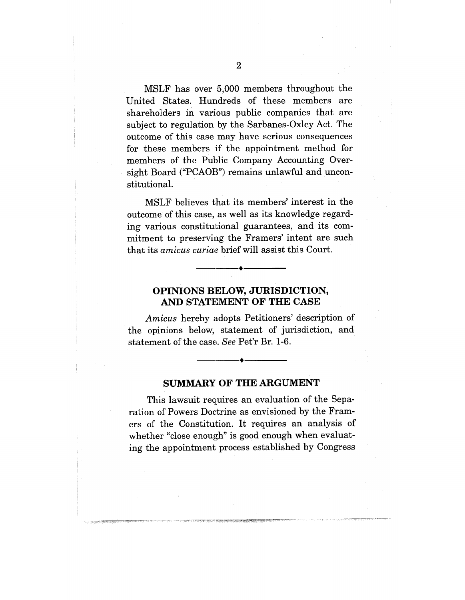MSLF has over 5,000 members throughout the United States. Hundreds of these members are shareholders in various public companies that are subject to regulation by the Sarbanes-Oxley Act. The outcome of this case may have serious consequences for these members if the appointment method for members of the Public Company Accounting Oversight Board ("PCAOB") remains unlawful and unconstitutional.

MSLF believes that its members' interest in the outcome of this case, as well as its knowledge regarding various constitutional guarantees, and its commitment to preserving the Framers' intent are such that its *am icus curiae* brief will assist this Court.

### **OPINIONS B:ELOW, JURISDICTION, AND STATEMENT OF THE CASE**

*Amicus* hereby adopts Petitioners' description of the opinions below, statement of jurisdiction, and statement of the case;. *See* Pet'r Br. 1-6.

#### **SUMMARY OF THE ARGUMENT**

This lawsuit requires an evaluation of the Separation of Powers Doctrine as envisioned by the Framers of the Constitution. It requires an analysis of whether "close enough" is good enough when evaluating the appointment process established by Congress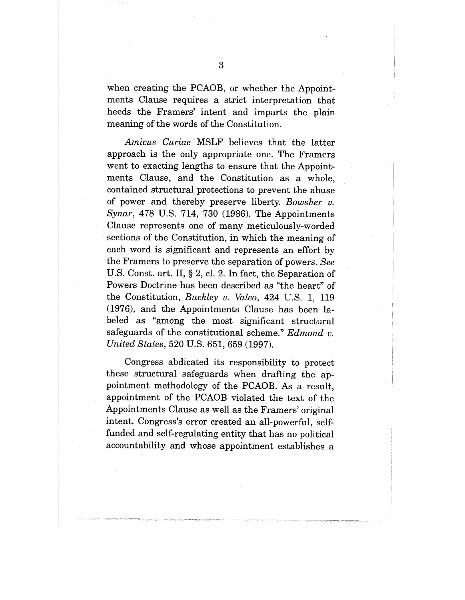when creating the PCAOB, or whether the Appointments Clause requires a strict interpretation that heeds the Framers' intent and imparts the plain meaning of the words of the Constitution.

*Amicus Curiae* MSLF believes that the latter approach is the only appropriate one. The Framers went to exacting lengths to ensure that the Appointments Clause, and the Constitution as a whole, contained structural protections to prevent the abuse of power and thereby preserve liberty. *Bowsher v. Synar,* 478 U.S. 714, 730 (1986). The Appointments Clause represents one of many meticulously-worded sections of the Constitution, in which the meaning of each word is significant and represents an effort by the Framers to preserve the separation of powers. *See* U.S. Const. art. II, § 2, cl. 2. In fact, the Separation of Powers Doctrine has been described as "the heart" of the Constitution, *Buckley v. Valeo,* 424 U.S. 1, 119 (1976), and the Appointments Clause has been labeled as "among the most significant structural safeguards of the constitutional scheme." *Edmond v. United States,* 520 U.S. 651, 659 (1997).

Congress abdicated its responsibility to protect these structural safeguards when drafting the appointment methodology of the PCAOB. As a result, appointment of the PCAOB violated the text of the Appointments Clause as well as the Framers' original intent. Congress's error created an all-powerful, selffunded and self-regulating entity that has no political accountability and whose appointment establishes a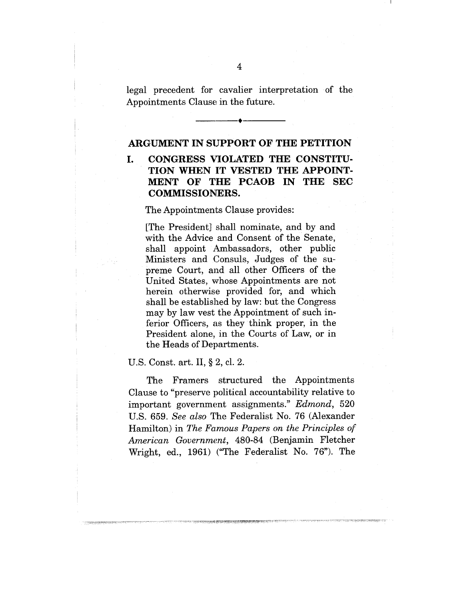legal precedent for cavalier interpretation of the Appointments Clause in the future.

#### **ARGUMENT IN SUPPORT OF THE PETITION**

# **I. CONGRESS VIOLATED THE CONSTITU-TION WHEN IT VESTED THE APPOINT-MENT OF THE PCAOB IN THE SEC COMMISSIONERS.**

The Appointments Clause provides:

[The President] shall nominate, and by and with the Advice and Consent of the Senate, shall appoint Ambassadors, other public Ministers and Consuls, Judges of the supreme Court, and all other Officers of the United States, whose Appointments are not herein otherwise provided for, and which shall be established by law: but the Congress may by law vest the Appointment of such inferior Officers, as they think proper, in the President alone, in the Courts of Law, or in the Heads of Departments.

#### U.S. Const. art. II, § 2, cl. 2.

The Framers structured the Appointments Clause to "preserve political accountability relative to important government assignments." *Edmond,* 520 U.S. 659. *See also* The Federalist No. 76 (Alexander Hamilton) in *The Famous Papers on the Principles of American Government,* 480-84 (Benjamin Fletcher Wright, ed., 1961) ("The Federalist No. 76"). The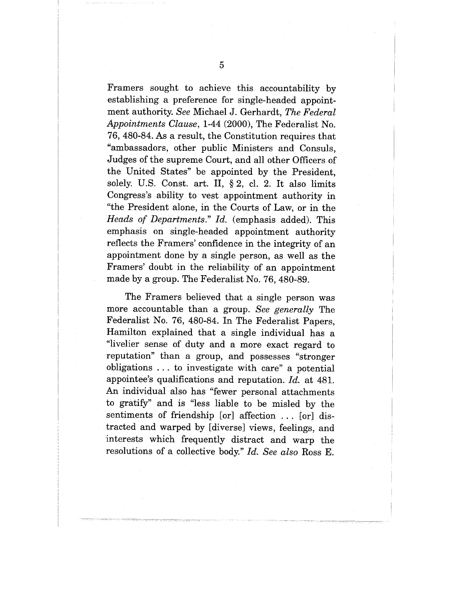Framers sought to achieve this accountability by establishing a preference for single-headed appointment authority. *See* Michael J. Gerhardt, *The Federal Appointments Clause,* 1-44 (2000), The Federalist No. 76, 480-84. As a result, the Constitution requires that "ambassadors, other public Ministers and Consuls, Judges of the supreme Court, and all other Officers of the United States" be appointed by the President, solely. U.S. Const. art. II, § 2, cl. 2. It also limits Congress's ability to vest appointment authority in "the President alone, in the Courts of Law, or in the *Heads of Departments." Id.* (emphasis added). This emphasis on single-headed appointment authority reflects the Framers' confidence in the integrity of an appointment done by a single person, as well as the Framers' doubt in the reliability of an appointment made by a group. The Federalist No. 76,480-89.

The Framers believed that a single person was more accountable than a group. *See generally* The Federalist No. 76, 480-84. In The Federalist Papers, Hamilton explained that a single individual has a "livelier sense of duty and a more exact regard to reputation" than a group, and possesses "stronger obligations ... to investigate with care" a potential appointee's qualifications and reputation. *Id.* at 481. An individual also has "fewer personal attachments to gratify" and is "less liable to be misled by the sentiments of friendship [or] affection ... [or] distracted and warped by [diversel views, feelings, and interests which frequently distract and warp the resolutions of a collective body." *Id. See also* Ross E.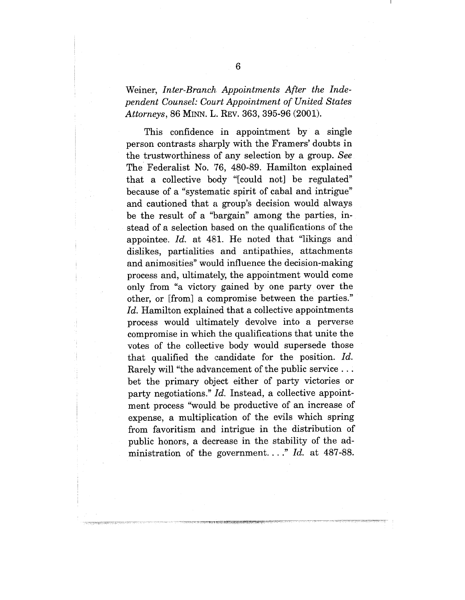# Weiner, *Inter-Branch Appointments After the Independent Counsel: Court Appointment of United States Attorneys,* 86 MINN. L. REV. 363, 395-96 (2001).

This confidence in appointment by a single person contrasts sharply with the Framers' doubts in the trustworthiness of any selection by a group. *See* The Federalist No. '76, 480-89. Hamilton explained that a collective body "[could not] be regulated" because of a "systematic spirit of cabal and intrigue" and cautioned that a group's decision would always be the result of a "bargain" among the parties, instead of a selection based on the qualifications of the appointee. *Id.* at 481. He noted that "likings and dislikes, partialities and antipathies, attachments and animosities" would influence the decision-making process and, ultimately, the appointment would come only from "a victory gained by one party over the other, or [from] a compromise between the parties." Id. Hamilton explained that a collective appointments process would ultimately devolve into a perverse compromise in which the qualifications that unite the votes of the collective body would supersede those that qualified the candidate for the position. *Id.* Rarely will "the advancement of the public service... bet the primary object either of party victories or party negotiations." *Id.* Instead, a collective appointment process "would. be productive of an increase of expense, a multiplication of the evils which spring from favoritism and. intrigue in the distribution of public honors, a decrease in the stability of the administration of the government...." *Id.* at 487-88.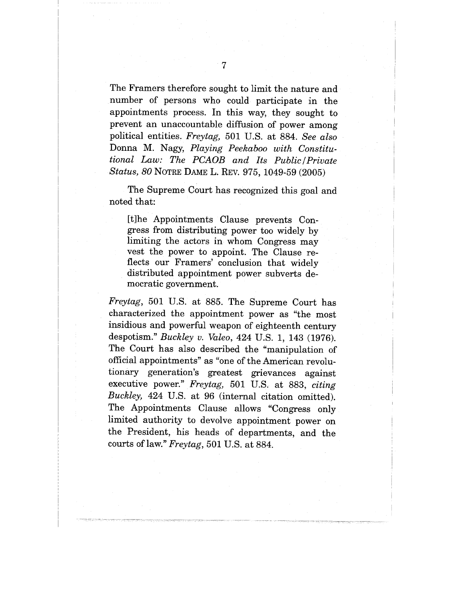The Framers therefore sought to limit the nature and number of persons who could participate in the appointments process. In this way, they sought to prevent an unaccountable diffusion of power among political entities. *Freytag,* 501 U.S. at 884. *See also* Donna M. Nagy, *Playing Peekaboo with Constitutional Law: The PCAOB and Its Public~Private Status, 80* NOTRE DAME L. REV. 975, 1049-59 (2005)

The Supreme Court has recognized this goal and noted that:

[t]he Appointments Clause prevents Congress from distributing power too widely by limiting the actors in whom Congress may vest the power to appoint. The Clause reflects our Framers' conclusion that widely distributed appointment power subverts democratic government.

*Freytag,* 501 U.S. at 885. The Supreme Court has characterized the appointment power as "the most insidious and powerful weapon of eighteenth century despotism." *Buckley v. Valeo,* 424 U.S. 1, 143 (1976). The Court has also described the "manipulation of official appointments" as "one of the American revolutionary generation's greatest grievances against executive power." *Freytag,* 501 U.S. at 883, *citing Buckley,* 424 U.S. at 96 (internal citation omitted). The Appointments Clause allows "Congress only limited authority to devolve appointment power on the President, his heads of departments, and the courts of law." *Freytag,* 501 U.S. at 884.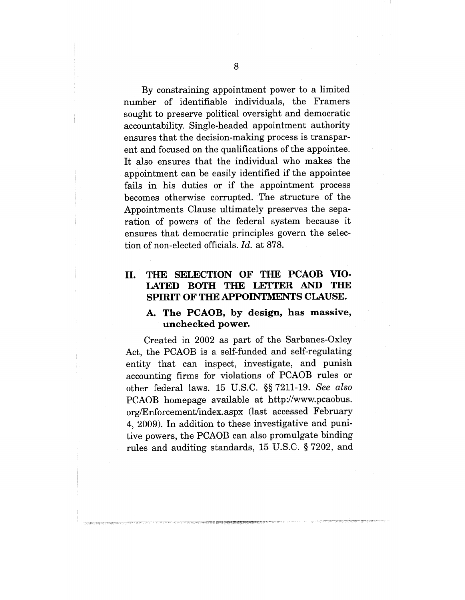By constraining appointment power to a limited number of identifiable individuals, the Framers sought to preserve political oversight and democratic accountability. Single-headed appointment authority ensures that the decision-making process is transparent and focused on the qualifications of the appointee. It also ensures that the individual who makes the appointment can be easily identified if the appointee fails in his duties or if the appointment process becomes otherwise corrupted. The structure of the Appointments Clause ultimately preserves the separation of powers of the federal system because it ensures that democratic principles govern the selection of non-elected officials. *Id.* at 878.

# **II. THE SELECTION OF THE PCAOB VIO-LATED BOTH THE LETTER AND THE SPIRIT OF THE APPOINTMENTS CLAUSE.**

#### **A. The PCAOB, by design, has massive, unchecked power.**

Created in 2002 as part of the Sarbanes-Oxley Act, the PCAOB is a self-funded and self-regulating entity that can inspect, investigate, and punish accounting firms for violations of PCAOB rules or other federal laws. 15 U.S.C. §§ 7211-19. *See also* PCAOB homepage available at http://www.pcaobus. org/Enforcement/index.aspx (last accessed February 4, 2009). In addition to these investigative and punitive powers, the PCAOB can also promulgate binding rules and auditing standards, 15 U.S.C. § 7202, and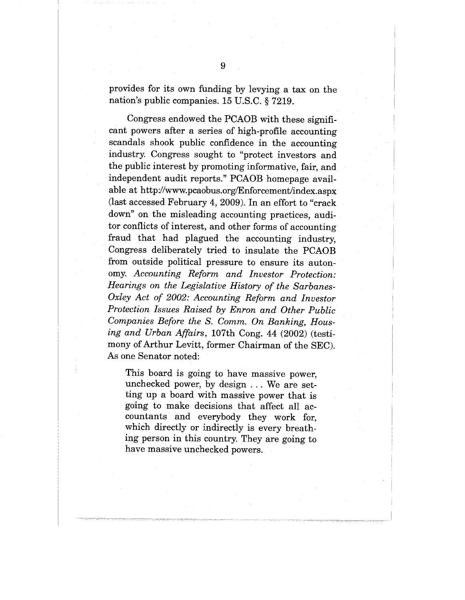provides for its own funding by levying a tax on the nation's public companies. 15 U.S.C. § 7219.

Congress endowed the PCAOB with these significant powers after a series of high-profile accounting scandals shook public confidence in the accounting industry. Congress sought to "protect investors and the public interest by promoting informative, fair, and independent audit reports." PCAOB homepage available at http://www.pcaobus.org/Enforcement/index.aspx (last accessed February 4, 2009). In an effort to "crack down" on the misleading accounting practices, auditor conflicts of interest, and other forms of accounting fraud that had plagued the accounting industry, Congress deliberately tried to insulate the PCAOB from outside political pressure to ensure its autonomy. *Accounting Reform and Investor Protection: Hearings on the Legislative History of the Sarbanes-Oxley Act of 2002: Accounting Reform and Investor Protection Issues Raised by Enron and Other Public Companies Before the S. Comm. On Banking, Housing and Urban Affairs,* 107th Cong. 44 (2002) (testimony of Arthur Levitt, former Chairman of the SEC). As one Senator noted:

This board is going to have massive power, unchecked power, by design ... We are setting up a board with massive power that is going to make decisions that affect all accountants and everybody they work for, which directly or indirectly is every breathing person in this country. They are going to have massive unchecked powers.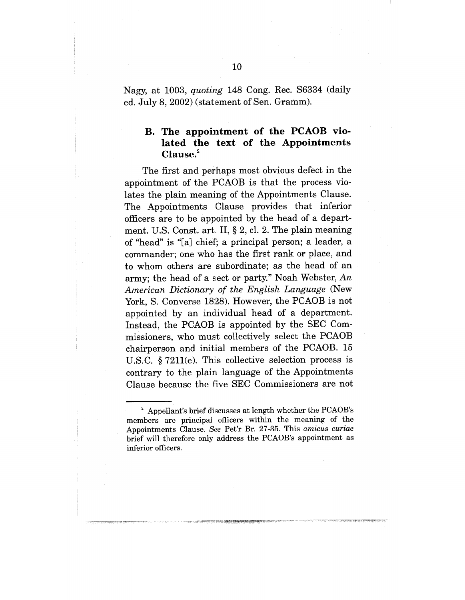Nagy, at 1003, *quoting* 148 Cong. Rec. \$6334 (daily ed. July 8, 2002) (statement of Sen. Gramm).

## **B. The appointment of the PCAOB violated the text of the Appointments Clause.2**

The first and perhaps most obvious defect in the appointment of the PCAOB is that the process violates the plain meaning of the Appointments Clause. The Appointments Clause provides that inferior officers are to be appointed by the head of a department. U.S. Const. art. II, § 2, cl. 2. The plain meaning of "head" is "[a] chief; a principal person; a leader, a commander; one who has the first rank or place, and to whom others are subordinate; as the head of an army; the head of a sect or party." Noah Webster, An *American Dictionary of the English Language* (New York, S. Converse 1828). However, the PCAOB is not appointed by an individual head of a department. Instead, the PCAOB is appointed by the SEC Commissioners, who must collectively select the PCAOB chairperson and initial members of the PCAOB. 15 U.S.C.  $\S 7211(e)$ . This collective selection process is contrary to the plain language of the Appointments Clause because the five SEC Commissioners are not

 $2$  Appellant's brief discusses at length whether the PCAOB's members are principal officers within the meaning of the Appointments Clause. *See* Pet'r Br. 27-35. This *amicus curiae* brief will therefore only address the PCAOB's appointment as inferior officers.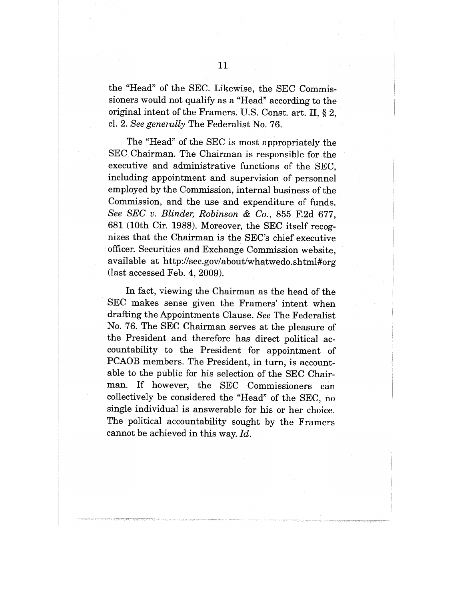the "Head" of the SEC. Likewise, the SEC Commissioners would not qualify as a "Head" according to the original intent of the Framers. U.S. Const. art. II, § 2, cl. 2. *See generally* The Federalist No. 76.

The "Head" of the SEC is most appropriately the SEC Chairman. The Chairman is responsible for the executive and administrative functions of the SEC, including appointment and supervision of personnel employed by the Commission, internal business of the Commission, and the use and expenditure of funds. *See SEC v. Blinder, Robinson & Co.,* 855 F.2d 677, 681 (10th Cir. 1988). Moreover, the SEC itself recognizes that the Chairman is the SEC's chief executive officer. Securities and Exchange Commission website, available at http://sec.gov/about/whatwedo.shtml#org (last accessed Feb. 4, 2009).

In fact, viewing the Chairman as the head of the SEC makes sense given the Framers' intent when drafting the Appointments Clause. *See* The Federalist No. 76. The SEC Chairman serves at the pleasure of the President and therefore has direct political accountability to the President for appointment of PCAOB members. The President, in turn, is accountable to the public for his selection of the SEC Chairman. If however, the SEC Commissioners can collectively be considered the "Head" of the SEC, no single individual is answerable for his or her choice. The political accountability sought by the Framers cannot be achieved in this way. *Id.*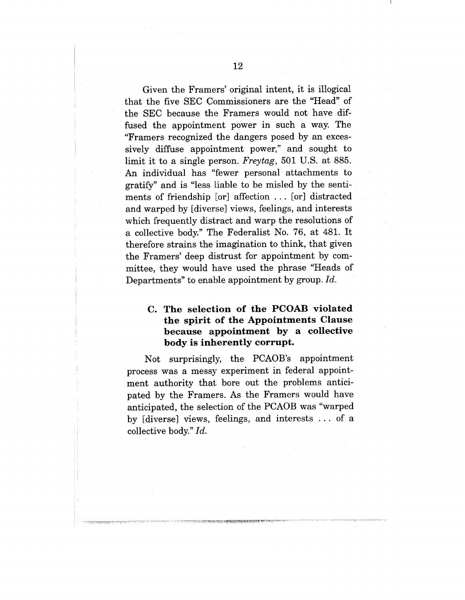Given the Framers' original intent, it is illogical that the five SEC Commissioners are the "Head" of the SEC because the Framers would not have diffused the appointment power in such a way. The "Framers recognized the dangers posed by an excessively diffuse appointment power," and sought to limit it to a single person. *Freytag,* 501 U.S. at 885. An individual has "fewer personal attachments to gratify" and is "less liable to be misled by the sentiments of friendship [or] affection ... [or] distracted and warped by [diverse] views, feelings, and interests which frequently distract and warp the resolutions of a collective body." The Federalist No. 76, at 481. It therefore strains the imagination to think, that given the Framers' deep distrust for appointment by committee, they would have used the phrase "Heads of Departments" to enable appointment by group. *Id.*

# **C. The selection of the PCOAB violated the spirit of the Appointments Clause because appointment by a collective body is inherently corrupt.**

Not surprisingly, the PCAOB's appointment process was a messy experiment in federal appointment authority that bore out the problems anticipated by the Framers. As the Framers would have anticipated, the selection of the PCAOB was "warped by [diverse] views, feelings, and interests ... of a collective body." *Id.*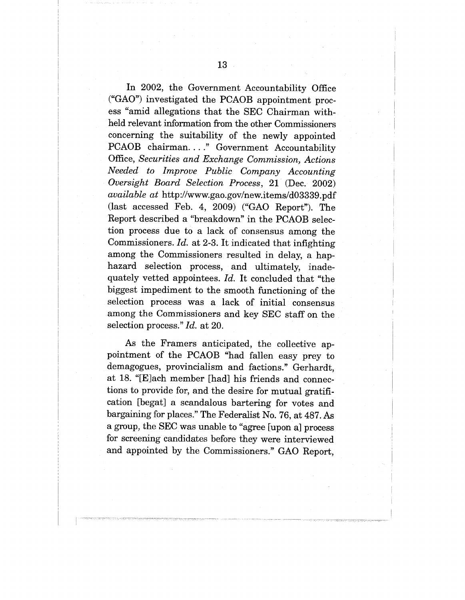In 2002, the Government Accountability Office ("GAO") investigated the PCAOB appointment process "amid allegations that the SEC Chairman withheld relevant information from the other Commissioners concerning the suitability of the newly appointed PCAOB chairman...." Government Accountability Office, *Securities and Exchange Commission, Actions Needed to Improve Public Company Accounting Oversight Board Selection Process,* 21 (Dec. 2002) *available at* http://www.gao.gov/new.items/d03339.pdf (last accessed Feb. 4, 2009) ("GAO Report"). The Report described a "breakdown" in the PCAOB selection process due to a lack of consensus among the Commissioners. *Id.* at 2-3. It indicated that infighting among the Commissioners resulted in delay, a haphazard selection process, and ultimately, inadequately vetted appointees. *Id.* It concluded that "the biggest impediment to the smooth functioning of the selection process was a lack of initial consensus among the Commissioners and key SEC staff on the selection process." *Id.* at 20.

As the Framers anticipated, the collective appointment of the PCAOB "had fallen easy prey to demagogues, provincialism and factions." Gerhardt, at 18. "[E]ach member [had] his friends and connections to provide for, and the desire for mutual gratification [begat] a scandalous bartering for votes and bargaining for places." The Federalist No. 76, at 487. As a group, the SEC was unable to "agree [upon a] process for screening candidates before they were interviewed and appointed by the Commissioners." GAO Report,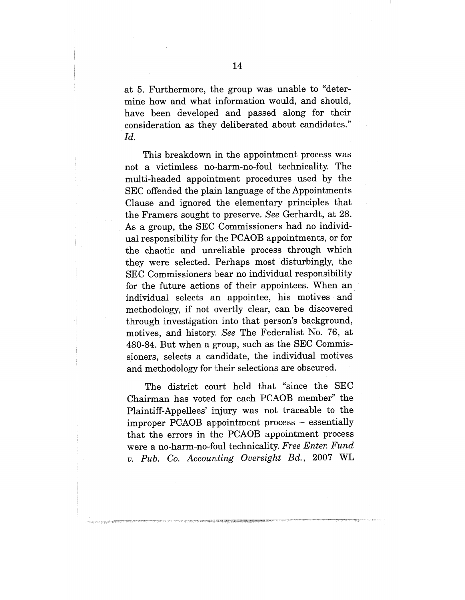at 5. Furthermore, the group was unable to "determine how and what information would, and should, have been developed and passed along for their consideration as they deliberated about candidates." *Id.*

This breakdown in the appointment process was not a victimless no.-harm-no-foul technicality. The multi-headed appointment procedures used by the SEC offended the plain language of the Appointments Clause and ignored the elementary principles that the Framers sought to preserve. *See* Gerhardt, at 28. As a group, the SEC Commissioners had no individual responsibility for the PCAOB appointments, or for the chaotic and unreliable process through which they were selected. Perhaps most disturbingly, the SEC Commissioners bear no individual responsibility for the future actions of their appointees. When an individual selects an appointee, his motives and methodology, if not overtly clear, can be discovered through investigation into that person's background, motives, and history. *See* The Federalist No. 76, at 480-84. But when a group, such as the SEC Commissioners, selects a candidate, the individual motives and methodology for their selections are obscured.

The district court held that "since the SEC Chairman has voted for each PCAOB member" the Plaintiff-Appellees' injury was not traceable to the improper PCAOB appointment process - essentially that the errors in the PCAOB appointment process were a no-harm-no-foul technicality. *Free Enter. Fund v. Pub. Co. Accour,~ting Oversight Bd.,* 2007 WL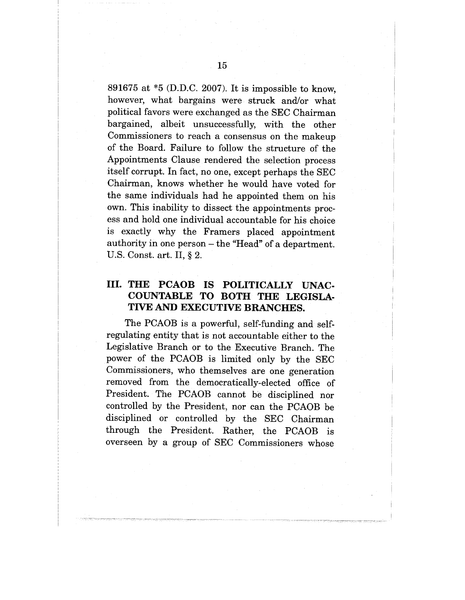891675 at \*5 (D.D.C. 2007). It is impossible to know, however, what bargains were struck and/or what political favors were exchanged as the SEC Chairman bargained, albeit unsuccessfully, with the other Commissioners to reach a consensus on the makeup of the Board. Failure to follow the structure of the Appointments Clause rendered the selection process itself corrupt. In fact, no one, except perhaps the SEC Chairman, knows whether he would have voted for the same individuals had he appointed them on his own. This inability to dissect the appointments process and hold one individual accountable for his choice is exactly why the Framers placed appointment authority in one person - the "Head" of a department. U.S. Const. art. II, § 2.

# **III. THE PCAOB IS POLITICALLY UNAC-COUNTABLE TO BOTH THE LEGISLA-TIVE AND EXECUTIVE BRANCHES.**

The PCAOB is a powerful, self-funding and selfregulating entity that is not accountable either to the Legislative Branch or to the Executive Branch. The power of the PCAOB is limited only by the SEC Commissioners, who themselves are one generation removed from the democratically-elected office of President. The PCAOB cannot be disciplined nor controlled by the President, nor can the PCAOB be disciplined or controlled by the SEC Chairman through the President. Rather, the PCAOB is overseen by a group of SEC Commissioners whose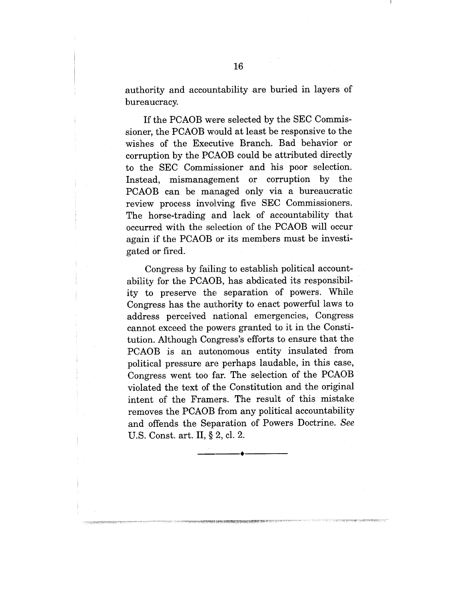authority and accountability are buried in layers of bureaucracy.

If the PCAOB were selected by the SEC Commissioner, the PCAOB would at least be responsive to the wishes of the Executive Branch. Bad behavior or corruption by the PCAOB could be attributed directly to the SEC Commissioner and his poor selection. Instead, mismanagement or corruption by the PCAOB can be managed only via a bureaucratic review process involving five SEC Commissioners. The horse-trading and lack of accountability that occurred with the selection of the PCAOB will occur again if the PCAOB or its members must be investigated or fired.

Congress by failing to establish political accountability for the PCAOB, has abdicated its responsibility to preserve the separation of powers. While Congress has the authority to enact powerful laws to address perceived national emergencies, Congress cannot exceed the powers granted to it in the Constitution. Although Congress's efforts to ensure that the PCAOB is an autonomous entity insulated from political pressure are perhaps laudable, in this case, Congress went too far. The selection of the PCAOB violated the text of the Constitution and the original intent of the Framers. The result of this mistake removes the PCAOB from any political accountability and offends the Separation of Powers Doctrine. *See* U.S. Const. art. II, § 2, cl. 2.